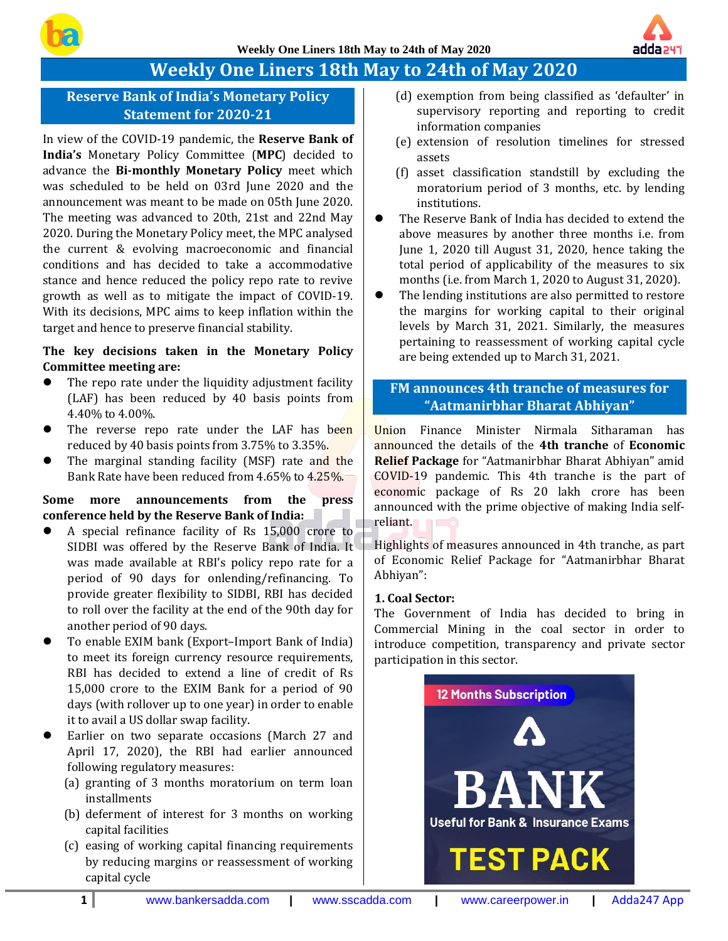

# **Weekly One Liners 18th May to 24th of May 2020**

# **Reserve Bank of India's Monetary Policy Statement for 2020-21**

In view of the COVID-19 pandemic, the **Reserve Bank of India's** Monetary Policy Committee (**MPC**) decided to advance the **Bi-monthly Monetary Policy** meet which was scheduled to be held on 03rd June 2020 and the announcement was meant to be made on 05th June 2020. The meeting was advanced to 20th, 21st and 22nd May 2020. During the Monetary Policy meet, the MPC analysed the current & evolving macroeconomic and financial conditions and has decided to take a accommodative stance and hence reduced the policy repo rate to revive growth as well as to mitigate the impact of COVID-19. With its decisions, MPC aims to keep inflation within the target and hence to preserve financial stability.

# **The key decisions taken in the Monetary Policy Committee meeting are:**

- The repo rate under the liquidity adjustment facility (LAF) has been reduced by 40 basis points from 4.40% to 4.00%.
- The reverse repo rate under the LAF has been reduced by 40 basis points from 3.75% to 3.35%.
- The marginal standing facility (MSF) rate and the Bank Rate have been reduced from 4.65% to 4.25%.

# **Some more announcements from the press conference held by the Reserve Bank of India:**

- ⚫ A special refinance facility of Rs 15,000 crore to SIDBI was offered by the Reserve Bank of India. It was made available at RBI's policy repo rate for a period of 90 days for onlending/refinancing. To provide greater flexibility to SIDBI, RBI has decided to roll over the facility at the end of the 90th day for another period of 90 days.
- ⚫ To enable EXIM bank (Export–Import Bank of India) to meet its foreign currency resource requirements, RBI has decided to extend a line of credit of Rs 15,000 crore to the EXIM Bank for a period of 90 days (with rollover up to one year) in order to enable it to avail a US dollar swap facility.
- ⚫ Earlier on two separate occasions (March 27 and April 17, 2020), the RBI had earlier announced following regulatory measures:
	- (a) granting of 3 months moratorium on term loan installments
	- (b) deferment of interest for 3 months on working capital facilities
	- (c) easing of working capital financing requirements by reducing margins or reassessment of working capital cycle
- (d) exemption from being classified as 'defaulter' in supervisory reporting and reporting to credit information companies
- (e) extension of resolution timelines for stressed assets
- (f) asset classification standstill by excluding the moratorium period of 3 months, etc. by lending institutions.
- The Reserve Bank of India has decided to extend the above measures by another three months i.e. from June 1, 2020 till August 31, 2020, hence taking the total period of applicability of the measures to six months (i.e. from March 1, 2020 to August 31, 2020).
- ⚫ The lending institutions are also permitted to restore the margins for working capital to their original levels by March 31, 2021. Similarly, the measures pertaining to reassessment of working capital cycle are being extended up to March 31, 2021.

# **FM announces 4th tranche of measures for "Aatmanirbhar Bharat Abhiyan"**

Union Finance Minister Nirmala Sitharaman has announced the details of the **4th tranche** of **Economic Relief Package** for "Aatmanirbhar Bharat Abhiyan" amid COVID-19 pandemic. This 4th tranche is the part of economic package of Rs 20 lakh crore has been announced with the prime objective of making India selfreliant.

Highlights of measures announced in 4th tranche, as part of Economic Relief Package for "Aatmanirbhar Bharat Abhiyan":

#### **1. Coal Sector:**

The Government of India has decided to bring in Commercial Mining in the coal sector in order to introduce competition, transparency and private sector participation in this sector.

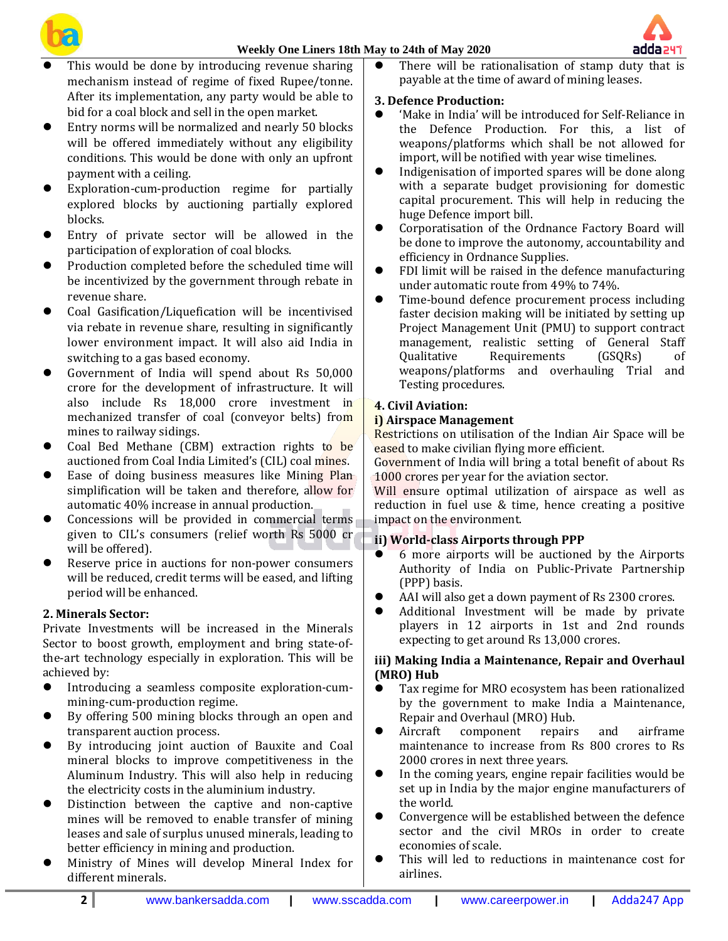



- This would be done by introducing revenue sharing mechanism instead of regime of fixed Rupee/tonne. After its implementation, any party would be able to bid for a coal block and sell in the open market.
- ⚫ Entry norms will be normalized and nearly 50 blocks will be offered immediately without any eligibility conditions. This would be done with only an upfront payment with a ceiling.
- ⚫ Exploration-cum-production regime for partially explored blocks by auctioning partially explored blocks.
- ⚫ Entry of private sector will be allowed in the participation of exploration of coal blocks.
- ⚫ Production completed before the scheduled time will be incentivized by the government through rebate in revenue share.
- ⚫ Coal Gasification/Liquefication will be incentivised via rebate in revenue share, resulting in significantly lower environment impact. It will also aid India in switching to a gas based economy.
- ⚫ Government of India will spend about Rs 50,000 crore for the development of infrastructure. It will also include Rs 18,000 crore investment in mechanized transfer of coal (conveyor belts) from mines to railway sidings.
- ⚫ Coal Bed Methane (CBM) extraction rights to be auctioned from Coal India Limited's (CIL) coal mines.
- Ease of doing business measures like Mining Plan simplification will be taken and therefore, allow for automatic 40% increase in annual production.
- ⚫ Concessions will be provided in commercial terms given to CIL's consumers (relief worth Rs 5000 cr will be offered).
- ⚫ Reserve price in auctions for non-power consumers will be reduced, credit terms will be eased, and lifting period will be enhanced.

# **2. Minerals Sector:**

Private Investments will be increased in the Minerals Sector to boost growth, employment and bring state-ofthe-art technology especially in exploration. This will be achieved by:

- ⚫ Introducing a seamless composite exploration-cummining-cum-production regime.
- ⚫ By offering 500 mining blocks through an open and transparent auction process.
- ⚫ By introducing joint auction of Bauxite and Coal mineral blocks to improve competitiveness in the Aluminum Industry. This will also help in reducing the electricity costs in the aluminium industry.
- ⚫ Distinction between the captive and non-captive mines will be removed to enable transfer of mining leases and sale of surplus unused minerals, leading to better efficiency in mining and production.
- ⚫ Ministry of Mines will develop Mineral Index for different minerals.

There will be rationalisation of stamp duty that is payable at the time of award of mining leases.

# **3. Defence Production:**

- ⚫ 'Make in India' will be introduced for Self-Reliance in the Defence Production. For this, a list of weapons/platforms which shall be not allowed for import, will be notified with year wise timelines.
- ⚫ Indigenisation of imported spares will be done along with a separate budget provisioning for domestic capital procurement. This will help in reducing the huge Defence import bill.
- ⚫ Corporatisation of the Ordnance Factory Board will be done to improve the autonomy, accountability and efficiency in Ordnance Supplies.
- ⚫ FDI limit will be raised in the defence manufacturing under automatic route from 49% to 74%.
- ⚫ Time-bound defence procurement process including faster decision making will be initiated by setting up Project Management Unit (PMU) to support contract management, realistic setting of General Staff Qualitative Requirements (GSQRs) of weapons/platforms and overhauling Trial and Testing procedures.

# **4. Civil Aviation:**

# **i) Airspace Management**

Restrictions on utilisation of the Indian Air Space will be eased to make civilian flying more efficient.

Government of India will bring a total benefit of about Rs 1000 crores per year for the aviation sector.

Will ensure optimal utilization of airspace as well as reduction in fuel use & time, hence creating a positive impact on the environment.

# **ii) World-class Airports through PPP**

- ⚫ 6 more airports will be auctioned by the Airports Authority of India on Public-Private Partnership (PPP) basis.
- AAI will also get a down payment of Rs 2300 crores.
- ⚫ Additional Investment will be made by private players in 12 airports in 1st and 2nd rounds expecting to get around Rs 13,000 crores.

# **iii) Making India a Maintenance, Repair and Overhaul (MRO) Hub**

- ⚫ Tax regime for MRO ecosystem has been rationalized by the government to make India a Maintenance, Repair and Overhaul (MRO) Hub.
- ⚫ Aircraft component repairs and airframe maintenance to increase from Rs 800 crores to Rs 2000 crores in next three years.
- ⚫ In the coming years, engine repair facilities would be set up in India by the major engine manufacturers of the world.
- ⚫ Convergence will be established between the defence sector and the civil MROs in order to create economies of scale.
- ⚫ This will led to reductions in maintenance cost for airlines.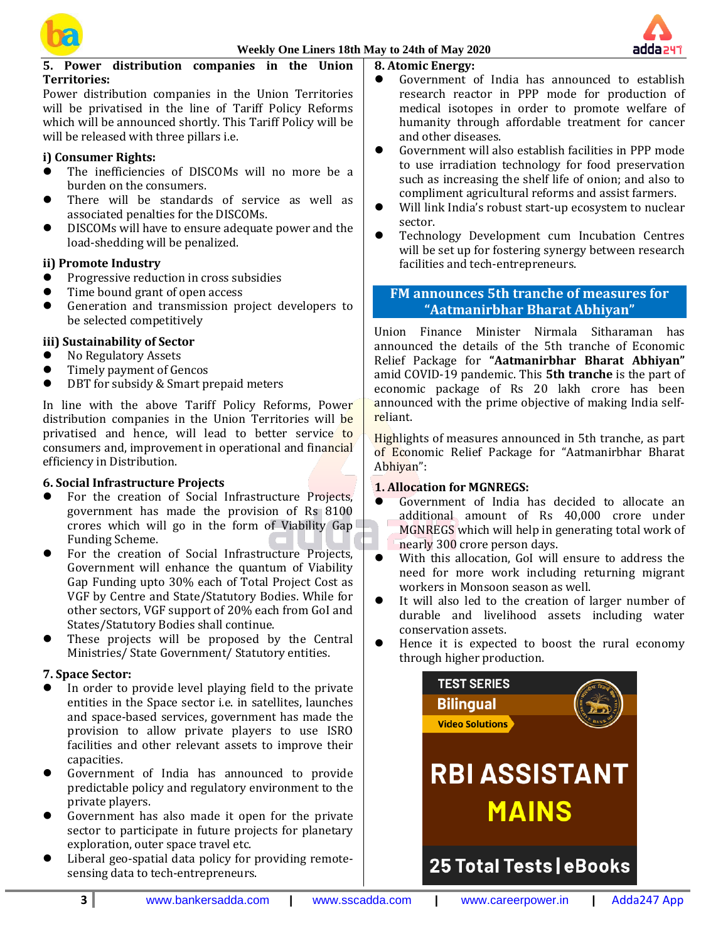



# **5. Power distribution companies in the Union Territories:**

Power distribution companies in the Union Territories will be privatised in the line of Tariff Policy Reforms which will be announced shortly. This Tariff Policy will be will be released with three pillars i.e.

# **i) Consumer Rights:**

- ⚫ The inefficiencies of DISCOMs will no more be a burden on the consumers.
- ⚫ There will be standards of service as well as associated penalties for the DISCOMs.
- ⚫ DISCOMs will have to ensure adequate power and the load-shedding will be penalized.

#### **ii) Promote Industry**

- ⚫ Progressive reduction in cross subsidies
- ⚫ Time bound grant of open access
- ⚫ Generation and transmission project developers to be selected competitively

#### **iii) Sustainability of Sector**

- No Regulatory Assets
- ⚫ Timely payment of Gencos
- DBT for subsidy & Smart prepaid meters

In line with the above Tariff Policy Reforms, Power distribution companies in the Union Territories will be privatised and hence, will lead to better service to consumers and, improvement in operational and financial efficiency in Distribution.

#### **6. Social Infrastructure Projects**

- For the creation of Social Infrastructure Projects, government has made the provision of Rs 8100 crores which will go in the form of Viability Gap Funding Scheme.
- ⚫ For the creation of Social Infrastructure Projects, Government will enhance the quantum of Viability Gap Funding upto 30% each of Total Project Cost as VGF by Centre and State/Statutory Bodies. While for other sectors, VGF support of 20% each from GoI and States/Statutory Bodies shall continue.
- ⚫ These projects will be proposed by the Central Ministries/ State Government/ Statutory entities.

#### **7. Space Sector:**

- ⚫ In order to provide level playing field to the private entities in the Space sector i.e. in satellites, launches and space-based services, government has made the provision to allow private players to use ISRO facilities and other relevant assets to improve their capacities.
- ⚫ Government of India has announced to provide predictable policy and regulatory environment to the private players.
- ⚫ Government has also made it open for the private sector to participate in future projects for planetary exploration, outer space travel etc.
- Liberal geo-spatial data policy for providing remotesensing data to tech-entrepreneurs.

### **8. Atomic Energy:**

- ⚫ Government of India has announced to establish research reactor in PPP mode for production of medical isotopes in order to promote welfare of humanity through affordable treatment for cancer and other diseases.
- Government will also establish facilities in PPP mode to use irradiation technology for food preservation such as increasing the shelf life of onion; and also to compliment agricultural reforms and assist farmers.
- Will link India's robust start-up ecosystem to nuclear sector.
- ⚫ Technology Development cum Incubation Centres will be set up for fostering synergy between research facilities and tech-entrepreneurs.

# **FM announces 5th tranche of measures for "Aatmanirbhar Bharat Abhiyan"**

Union Finance Minister Nirmala Sitharaman has announced the details of the 5th tranche of Economic Relief Package for **"Aatmanirbhar Bharat Abhiyan"** amid COVID-19 pandemic. This **5th tranche** is the part of economic package of Rs 20 lakh crore has been announced with the prime objective of making India selfreliant.

Highlights of measures announced in 5th tranche, as part of Economic Relief Package for "Aatmanirbhar Bharat Abhiyan":

#### **1. Allocation for MGNREGS:**

- ⚫ Government of India has decided to allocate an additional amount of Rs 40,000 crore under MGNREGS which will help in generating total work of nearly 300 crore person days.
- ⚫ With this allocation, GoI will ensure to address the need for more work including returning migrant workers in Monsoon season as well.
- ⚫ It will also led to the creation of larger number of durable and livelihood assets including water conservation assets.
- Hence it is expected to boost the rural economy through higher production.

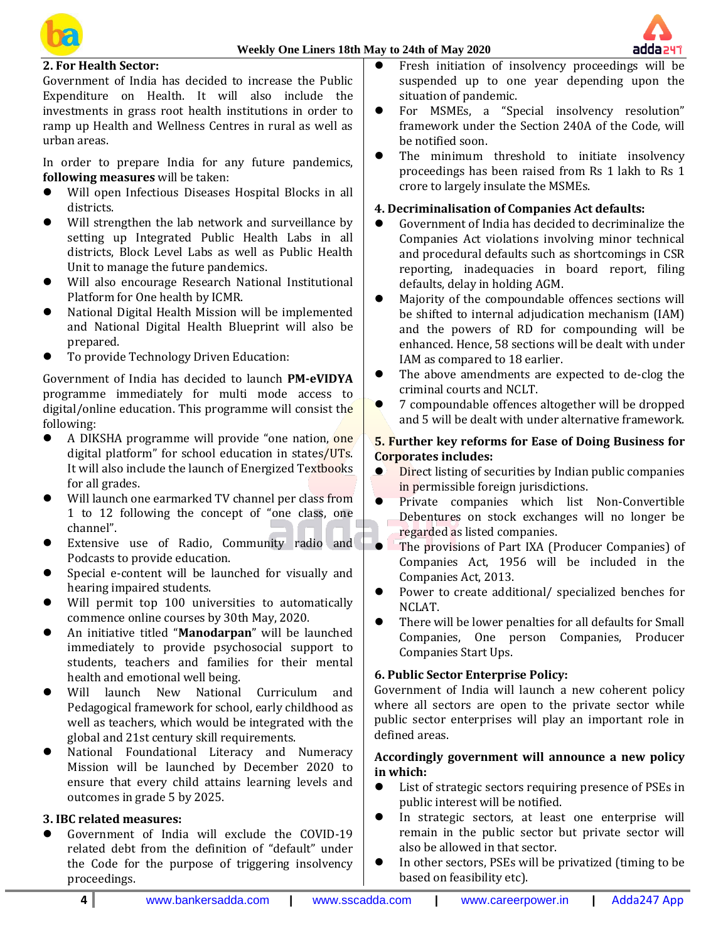



### **2. For Health Sector:**

Government of India has decided to increase the Public Expenditure on Health. It will also include the investments in grass root health institutions in order to ramp up Health and Wellness Centres in rural as well as urban areas.

In order to prepare India for any future pandemics, **following measures** will be taken:

- ⚫ Will open Infectious Diseases Hospital Blocks in all districts.
- Will strengthen the lab network and surveillance by setting up Integrated Public Health Labs in all districts, Block Level Labs as well as Public Health Unit to manage the future pandemics.
- ⚫ Will also encourage Research National Institutional Platform for One health by ICMR.
- ⚫ National Digital Health Mission will be implemented and National Digital Health Blueprint will also be prepared.
- ⚫ To provide Technology Driven Education:

Government of India has decided to launch **PM-eVIDYA** programme immediately for multi mode access to digital/online education. This programme will consist the following:

- ⚫ A DIKSHA programme will provide "one nation, one digital platform" for school education in states/UTs. It will also include the launch of Energized Textbooks for all grades.
- Will launch one earmarked TV channel per class from 1 to 12 following the concept of "one class, one channel".
- Extensive use of Radio, Community radio and Podcasts to provide education.
- ⚫ Special e-content will be launched for visually and hearing impaired students.
- Will permit top 100 universities to automatically commence online courses by 30th May, 2020.
- ⚫ An initiative titled "**Manodarpan**" will be launched immediately to provide psychosocial support to students, teachers and families for their mental health and emotional well being.
- ⚫ Will launch New National Curriculum and Pedagogical framework for school, early childhood as well as teachers, which would be integrated with the global and 21st century skill requirements.
- ⚫ National Foundational Literacy and Numeracy Mission will be launched by December 2020 to ensure that every child attains learning levels and outcomes in grade 5 by 2025.

#### **3. IBC related measures:**

⚫ Government of India will exclude the COVID-19 related debt from the definition of "default" under the Code for the purpose of triggering insolvency proceedings.

- ⚫ Fresh initiation of insolvency proceedings will be suspended up to one year depending upon the situation of pandemic.
- ⚫ For MSMEs, a "Special insolvency resolution" framework under the Section 240A of the Code, will be notified soon.
- ⚫ The minimum threshold to initiate insolvency proceedings has been raised from Rs 1 lakh to Rs 1 crore to largely insulate the MSMEs.

### **4. Decriminalisation of Companies Act defaults:**

- ⚫ Government of India has decided to decriminalize the Companies Act violations involving minor technical and procedural defaults such as shortcomings in CSR reporting, inadequacies in board report, filing defaults, delay in holding AGM.
- ⚫ Majority of the compoundable offences sections will be shifted to internal adjudication mechanism (IAM) and the powers of RD for compounding will be enhanced. Hence, 58 sections will be dealt with under IAM as compared to 18 earlier.
- The above amendments are expected to de-clog the criminal courts and NCLT.
- ⚫ 7 compoundable offences altogether will be dropped and 5 will be dealt with under alternative framework.

# **5. Further key reforms for Ease of Doing Business for Corporates includes:**

- Direct listing of securities by Indian public companies in permissible foreign jurisdictions.
- ⚫ Private companies which list Non-Convertible Debentures on stock exchanges will no longer be regarded as listed companies.
- ⚫ The provisions of Part IXA (Producer Companies) of Companies Act, 1956 will be included in the Companies Act, 2013.
- Power to create additional/ specialized benches for NCLAT.
- There will be lower penalties for all defaults for Small Companies, One person Companies, Producer Companies Start Ups.

# **6. Public Sector Enterprise Policy:**

Government of India will launch a new coherent policy where all sectors are open to the private sector while public sector enterprises will play an important role in defined areas.

# **Accordingly government will announce a new policy in which:**

- ⚫ List of strategic sectors requiring presence of PSEs in public interest will be notified.
- ⚫ In strategic sectors, at least one enterprise will remain in the public sector but private sector will also be allowed in that sector.
- ⚫ In other sectors, PSEs will be privatized (timing to be based on feasibility etc).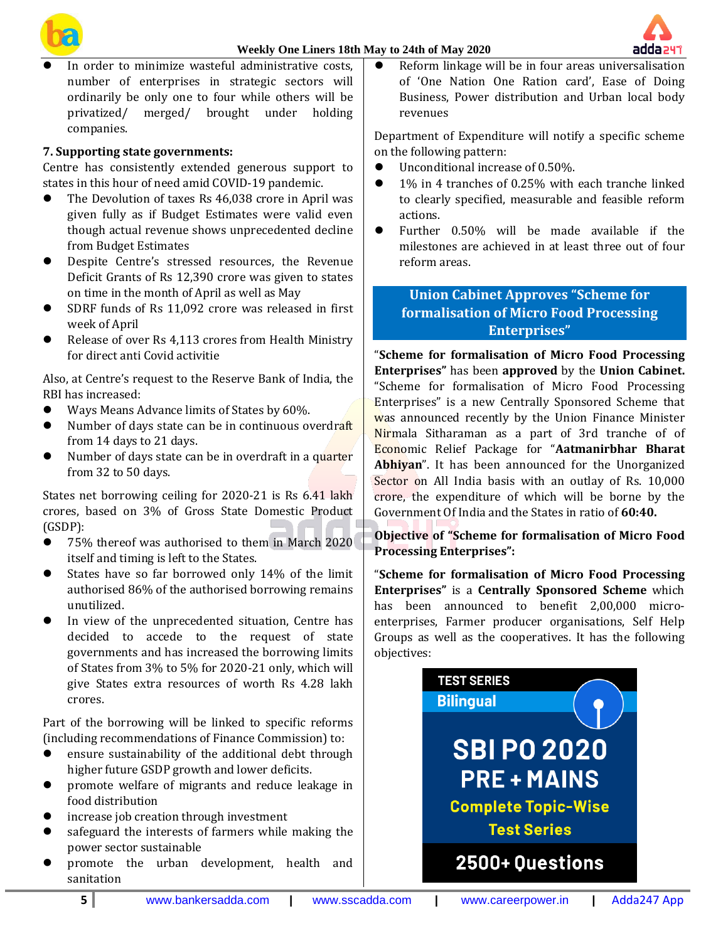# **Weekly One Liners 18th May to 24th of May 2020**





⚫ In order to minimize wasteful administrative costs, number of enterprises in strategic sectors will ordinarily be only one to four while others will be privatized/ merged/ brought under holding companies.

# **7. Supporting state governments:**

Centre has consistently extended generous support to states in this hour of need amid COVID-19 pandemic.

- ⚫ The Devolution of taxes Rs 46,038 crore in April was given fully as if Budget Estimates were valid even though actual revenue shows unprecedented decline from Budget Estimates
- ⚫ Despite Centre's stressed resources, the Revenue Deficit Grants of Rs 12,390 crore was given to states on time in the month of April as well as May
- SDRF funds of Rs 11,092 crore was released in first week of April
- ⚫ Release of over Rs 4,113 crores from Health Ministry for direct anti Covid activitie

Also, at Centre's request to the Reserve Bank of India, the RBI has increased:

- Ways Means Advance limits of States by 60%.
- Number of days state can be in continuous overdraft from 14 days to 21 days.
- Number of days state can be in overdraft in a quarter from 32 to 50 days.

States net borrowing ceiling for 2020-21 is Rs 6.41 lakh crores, based on 3% of Gross State Domestic Product (GSDP):

- 75% thereof was authorised to them in March 2020 itself and timing is left to the States.
- States have so far borrowed only 14% of the limit authorised 86% of the authorised borrowing remains unutilized.
- ⚫ In view of the unprecedented situation, Centre has decided to accede to the request of state governments and has increased the borrowing limits of States from 3% to 5% for 2020-21 only, which will give States extra resources of worth Rs 4.28 lakh crores.

Part of the borrowing will be linked to specific reforms (including recommendations of Finance Commission) to:

- ⚫ ensure sustainability of the additional debt through higher future GSDP growth and lower deficits.
- ⚫ promote welfare of migrants and reduce leakage in food distribution
- ⚫ increase job creation through investment
- ⚫ safeguard the interests of farmers while making the power sector sustainable
- ⚫ promote the urban development, health and sanitation

⚫ Reform linkage will be in four areas universalisation of 'One Nation One Ration card', Ease of Doing Business, Power distribution and Urban local body revenues

Department of Expenditure will notify a specific scheme on the following pattern:

- Unconditional increase of 0.50%.
- 1% in 4 tranches of 0.25% with each tranche linked to clearly specified, measurable and feasible reform actions.
- ⚫ Further 0.50% will be made available if the milestones are achieved in at least three out of four reform areas.

# **Union Cabinet Approves "Scheme for formalisation of Micro Food Processing Enterprises"**

"**Scheme for formalisation of Micro Food Processing Enterprises"** has been **approved** by the **Union Cabinet.** "Scheme for formalisation of Micro Food Processing Enterprises" is a new Centrally Sponsored Scheme that was announced recently by the Union Finance Minister Nirmala Sitharaman as a part of 3rd tranche of of Economic Relief Package for "**Aatmanirbhar Bharat** Abhiyan". It has been announced for the Unorganized Sector on All India basis with an outlay of Rs. 10,000 crore, the expenditure of which will be borne by the Government Of India and the States in ratio of **60:40.**

**Objective of "Scheme for formalisation of Micro Food Processing Enterprises":**

"**Scheme for formalisation of Micro Food Processing Enterprises"** is a **Centrally Sponsored Scheme** which has been announced to benefit 2,00,000 microenterprises, Farmer producer organisations, Self Help Groups as well as the cooperatives. It has the following objectives:

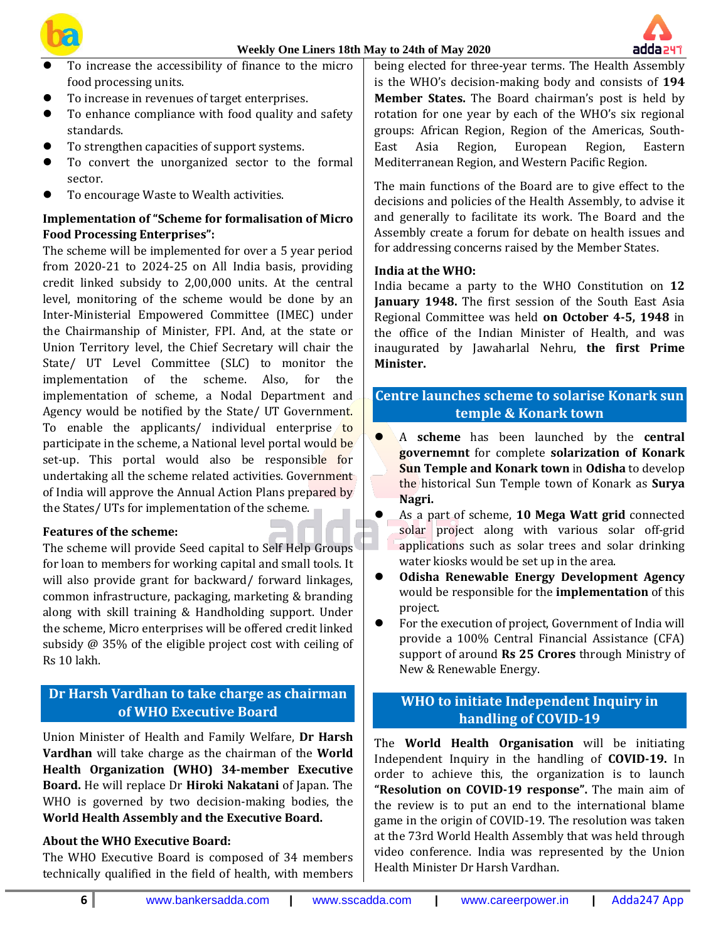



- ⚫ To increase the accessibility of finance to the micro food processing units.
- ⚫ To increase in revenues of target enterprises.
- ⚫ To enhance compliance with food quality and safety standards.
- ⚫ To strengthen capacities of support systems.
- ⚫ To convert the unorganized sector to the formal sector.
- ⚫ To encourage Waste to Wealth activities.

# **Implementation of "Scheme for formalisation of Micro Food Processing Enterprises":**

The scheme will be implemented for over a 5 year period from 2020-21 to 2024-25 on All India basis, providing credit linked subsidy to 2,00,000 units. At the central level, monitoring of the scheme would be done by an Inter-Ministerial Empowered Committee (IMEC) under the Chairmanship of Minister, FPI. And, at the state or Union Territory level, the Chief Secretary will chair the State/ UT Level Committee (SLC) to monitor the implementation of the scheme. Also, for the implementation of scheme, a Nodal Department and Agency would be notified by the State/ UT Government. To enable the applicants/ individual enterprise to participate in the scheme, a National level portal would be set-up. This portal would also be responsible for undertaking all the scheme related activities. Government of India will approve the Annual Action Plans prepared by the States/ UTs for implementation of the scheme.

#### **Features of the scheme:**

The scheme will provide Seed capital to Self Help Groups for loan to members for working capital and small tools. It will also provide grant for backward/ forward linkages, common infrastructure, packaging, marketing & branding along with skill training & Handholding support. Under the scheme, Micro enterprises will be offered credit linked subsidy @ 35% of the eligible project cost with ceiling of Rs 10 lakh.

# **Dr Harsh Vardhan to take charge as chairman of WHO Executive Board**

Union Minister of Health and Family Welfare, **Dr Harsh Vardhan** will take charge as the chairman of the **World Health Organization (WHO) 34-member Executive Board.** He will replace Dr **Hiroki Nakatani** of Japan. The WHO is governed by two decision-making bodies, the **World Health Assembly and the Executive Board.**

#### **About the WHO Executive Board:**

The WHO Executive Board is composed of 34 members technically qualified in the field of health, with members

being elected for three-year terms. The Health Assembly is the WHO's decision-making body and consists of **194 Member States.** The Board chairman's post is held by rotation for one year by each of the WHO's six regional groups: African Region, Region of the Americas, South-East Asia Region, European Region, Eastern Mediterranean Region, and Western Pacific Region.

The main functions of the Board are to give effect to the decisions and policies of the Health Assembly, to advise it and generally to facilitate its work. The Board and the Assembly create a forum for debate on health issues and for addressing concerns raised by the Member States.

#### **India at the WHO:**

India became a party to the WHO Constitution on **12 January 1948.** The first session of the South East Asia Regional Committee was held **on October 4-5, 1948** in the office of the Indian Minister of Health, and was inaugurated by Jawaharlal Nehru, **the first Prime Minister.**

# **Centre launches scheme to solarise Konark sun temple & Konark town**

- ⚫ A **scheme** has been launched by the **central governemnt** for complete **solarization of Konark Sun Temple and Konark town** in **Odisha** to develop the historical Sun Temple town of Konark as **Surya Nagri.**
- ⚫ As a part of scheme, **10 Mega Watt grid** connected solar project along with various solar off-grid applications such as solar trees and solar drinking water kiosks would be set up in the area.
- ⚫ **Odisha Renewable Energy Development Agency** would be responsible for the **implementation** of this project.
- ⚫ For the execution of project, Government of India will provide a 100% Central Financial Assistance (CFA) support of around **Rs 25 Crores** through Ministry of New & Renewable Energy.

# **WHO to initiate Independent Inquiry in handling of COVID-19**

The **World Health Organisation** will be initiating Independent Inquiry in the handling of **COVID-19.** In order to achieve this, the organization is to launch **"Resolution on COVID-19 response".** The main aim of the review is to put an end to the international blame game in the origin of COVID-19. The resolution was taken at the 73rd World Health Assembly that was held through video conference. India was represented by the Union Health Minister Dr Harsh Vardhan.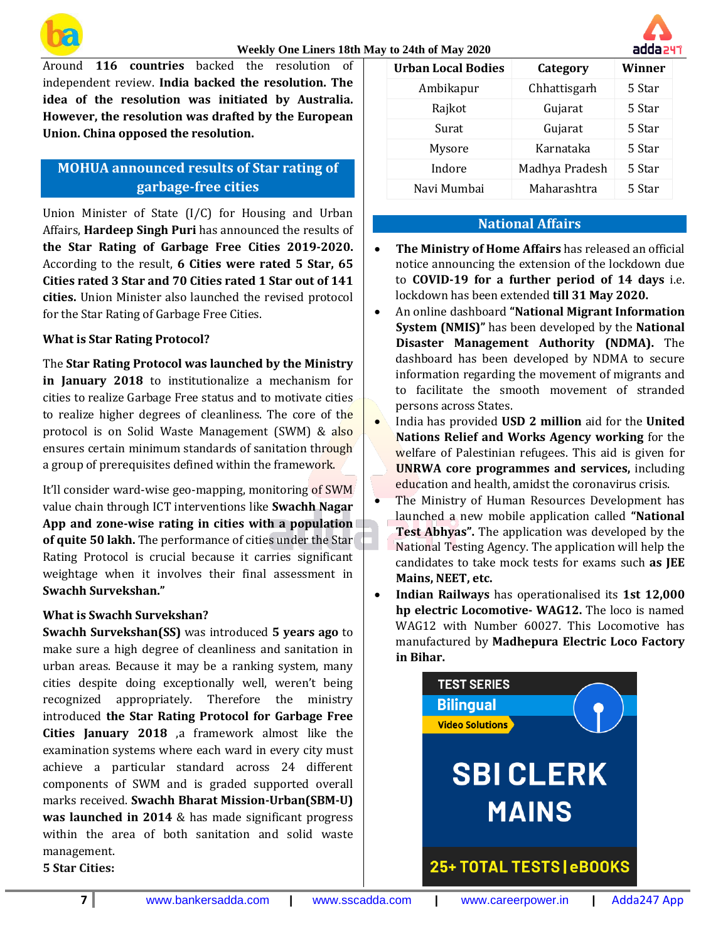

#### **Weekly One Liners 18th May to 24th of May 2020**

Around **116 countries** backed the resolution of independent review. **India backed the resolution. The idea of the resolution was initiated by Australia. However, the resolution was drafted by the European Union. China opposed the resolution.**

# **MOHUA announced results of Star rating of garbage-free cities**

Union Minister of State (I/C) for Housing and Urban Affairs, **Hardeep Singh Puri** has announced the results of **the Star Rating of Garbage Free Cities 2019-2020.** According to the result, **6 Cities were rated 5 Star, 65 Cities rated 3 Star and 70 Cities rated 1 Star out of 141 cities.** Union Minister also launched the revised protocol for the Star Rating of Garbage Free Cities.

#### **What is Star Rating Protocol?**

The **Star Rating Protocol was launched by the Ministry in January 2018** to institutionalize a mechanism for cities to realize Garbage Free status and to motivate cities to realize higher degrees of cleanliness. The core of the protocol is on Solid Waste Management (SWM) & also ensures certain minimum standards of sanitation through a group of prerequisites defined within the framework.

It'll consider ward-wise geo-mapping, monitoring of SWM value chain through ICT interventions like **Swachh Nagar App and zone-wise rating in cities with a population of quite 50 lakh.** The performance of cities under the Star Rating Protocol is crucial because it carries significant weightage when it involves their final assessment in **Swachh Survekshan."**

### **What is Swachh Survekshan?**

**Swachh Survekshan(SS)** was introduced **5 years ago** to make sure a high degree of cleanliness and sanitation in urban areas. Because it may be a ranking system, many cities despite doing exceptionally well, weren't being recognized appropriately. Therefore the ministry introduced **the Star Rating Protocol for Garbage Free Cities January 2018** ,a framework almost like the examination systems where each ward in every city must achieve a particular standard across 24 different components of SWM and is graded supported overall marks received. **Swachh Bharat Mission-Urban(SBM-U) was launched in 2014** & has made significant progress within the area of both sanitation and solid waste management. **5 Star Cities:**

**Urban Local Bodies Category Winner** Ambikapur Chhattisgarh 5 Star Rajkot Gujarat 5 Star Surat Gujarat 5 Star Mysore Karnataka 5 Star Indore Madhya Pradesh 5 Star Navi Mumbai Maharashtra 5 Star

#### **National Affairs**

- **The Ministry of Home Affairs** has released an official notice announcing the extension of the lockdown due to **COVID-19 for a further period of 14 days** i.e. lockdown has been extended **till 31 May 2020.**
- An online dashboard **"National Migrant Information System (NMIS)"** has been developed by the **National Disaster Management Authority (NDMA).** The dashboard has been developed by NDMA to secure information regarding the movement of migrants and to facilitate the smooth movement of stranded persons across States.
- India has provided **USD 2 million** aid for the **United Nations Relief and Works Agency working** for the welfare of Palestinian refugees. This aid is given for **UNRWA core programmes and services,** including education and health, amidst the coronavirus crisis.
- The Ministry of Human Resources Development has launched a new mobile application called **"National Test Abhyas".** The application was developed by the National Testing Agency. The application will help the candidates to take mock tests for exams such **as JEE Mains, NEET, etc.**
- **Indian Railways** has operationalised its **1st 12,000 hp electric Locomotive- WAG12.** The loco is named WAG12 with Number 60027. This Locomotive has manufactured by **Madhepura Electric Loco Factory in Bihar.**



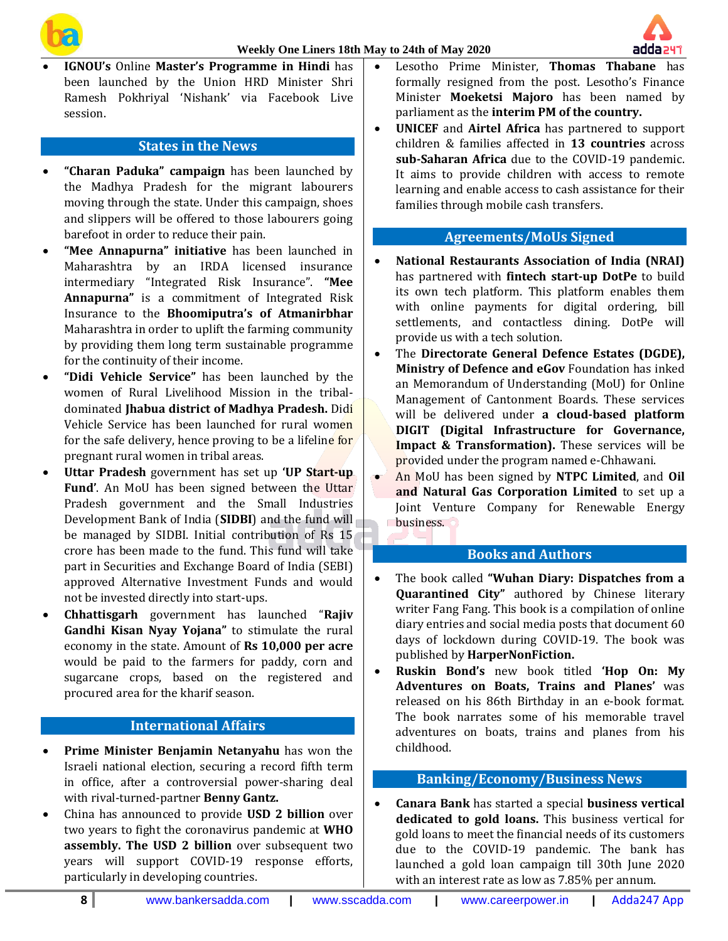

- 
- **IGNOU's** Online **Master's Programme in Hindi** has been launched by the Union HRD Minister Shri Ramesh Pokhriyal 'Nishank' via Facebook Live session.

### **States in the News**

- **"Charan Paduka" campaign** has been launched by the Madhya Pradesh for the migrant labourers moving through the state. Under this campaign, shoes and slippers will be offered to those labourers going barefoot in order to reduce their pain.
- **"Mee Annapurna" initiative** has been launched in Maharashtra by an IRDA licensed insurance intermediary "Integrated Risk Insurance". **"Mee Annapurna"** is a commitment of Integrated Risk Insurance to the **Bhoomiputra's of Atmanirbhar** Maharashtra in order to uplift the farming community by providing them long term sustainable programme for the continuity of their income.
- **"Didi Vehicle Service"** has been launched by the women of Rural Livelihood Mission in the tribaldominated **Jhabua district of Madhya Pradesh.** Didi Vehicle Service has been launched for rural women for the safe delivery, hence proving to be a lifeline for pregnant rural women in tribal areas.
- **Uttar Pradesh** government has set up **'UP Start-up Fund'**. An MoU has been signed between the Uttar Pradesh government and the Small Industries Development Bank of India (**SIDBI**) and the fund will be managed by SIDBI. Initial contribution of Rs 15 crore has been made to the fund. This fund will take part in Securities and Exchange Board of India (SEBI) approved Alternative Investment Funds and would not be invested directly into start-ups.
- **Chhattisgarh** government has launched "**Rajiv Gandhi Kisan Nyay Yojana"** to stimulate the rural economy in the state. Amount of **Rs 10,000 per acre** would be paid to the farmers for paddy, corn and sugarcane crops, based on the registered and procured area for the kharif season.

#### **International Affairs**

- **Prime Minister Benjamin Netanyahu** has won the Israeli national election, securing a record fifth term in office, after a controversial power-sharing deal with rival-turned-partner **Benny Gantz.**
- China has announced to provide **USD 2 billion** over two years to fight the coronavirus pandemic at **WHO assembly. The USD 2 billion** over subsequent two years will support COVID-19 response efforts, particularly in developing countries.
- Lesotho Prime Minister, **Thomas Thabane** has formally resigned from the post. Lesotho's Finance Minister **Moeketsi Majoro** has been named by parliament as the **interim PM of the country.**
- **UNICEF** and **Airtel Africa** has partnered to support children & families affected in **13 countries** across **sub-Saharan Africa** due to the COVID-19 pandemic. It aims to provide children with access to remote learning and enable access to cash assistance for their families through mobile cash transfers.

#### **Agreements/MoUs Signed**

- **National Restaurants Association of India (NRAI)** has partnered with **fintech start-up DotPe** to build its own tech platform. This platform enables them with online payments for digital ordering, bill settlements, and contactless dining. DotPe will provide us with a tech solution.
- The **Directorate General Defence Estates (DGDE), Ministry of Defence and eGov** Foundation has inked an Memorandum of Understanding (MoU) for Online Management of Cantonment Boards. These services will be delivered under **a cloud-based platform DIGIT (Digital Infrastructure for Governance, Impact & Transformation).** These services will be provided under the program named e-Chhawani.
- An MoU has been signed by **NTPC Limited**, and **Oil and Natural Gas Corporation Limited** to set up a Joint Venture Company for Renewable Energy business.

# **Books and Authors**

- The book called **"Wuhan Diary: Dispatches from a Quarantined City"** authored by Chinese literary writer Fang Fang. This book is a compilation of online diary entries and social media posts that document 60 days of lockdown during COVID-19. The book was published by **HarperNonFiction.**
- **Ruskin Bond's** new book titled **'Hop On: My Adventures on Boats, Trains and Planes'** was released on his 86th Birthday in an e-book format. The book narrates some of his memorable travel adventures on boats, trains and planes from his childhood.

### **Banking/Economy/Business News**

• **Canara Bank** has started a special **business vertical dedicated to gold loans.** This business vertical for gold loans to meet the financial needs of its customers due to the COVID-19 pandemic. The bank has launched a gold loan campaign till 30th June 2020 with an interest rate as low as 7.85% per annum.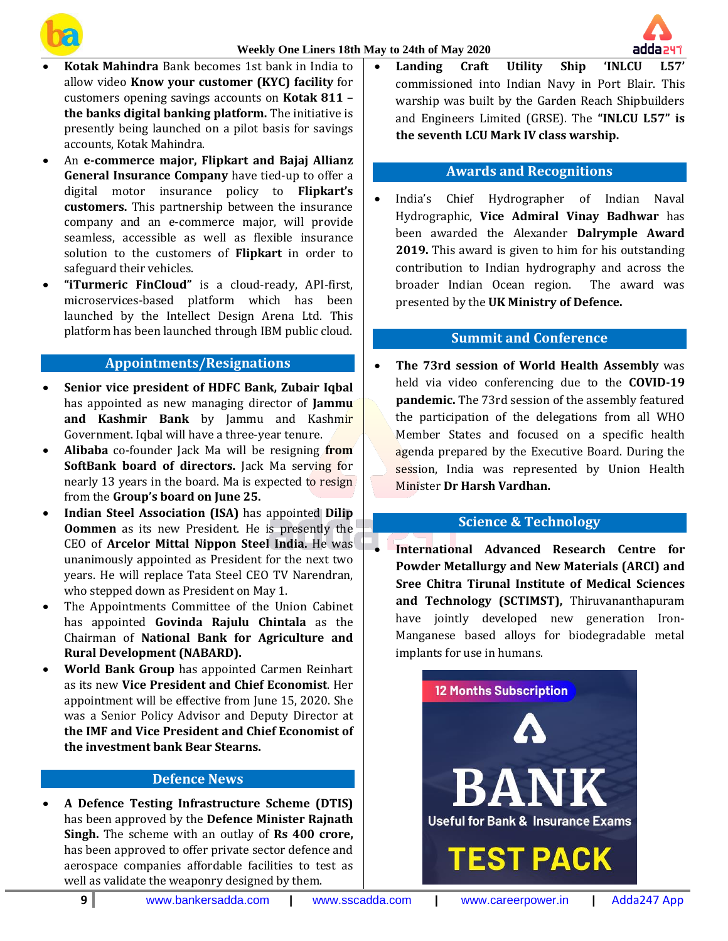



- **Kotak Mahindra** Bank becomes 1st bank in India to allow video **Know your customer (KYC) facility** for customers opening savings accounts on **Kotak 811 – the banks digital banking platform.** The initiative is presently being launched on a pilot basis for savings accounts, Kotak Mahindra.
- An **e-commerce major, Flipkart and Bajaj Allianz General Insurance Company** have tied-up to offer a digital motor insurance policy to **Flipkart's customers.** This partnership between the insurance company and an e-commerce major, will provide seamless, accessible as well as flexible insurance solution to the customers of **Flipkart** in order to safeguard their vehicles.
- **"iTurmeric FinCloud"** is a cloud-ready, API-first, microservices-based platform which has been launched by the Intellect Design Arena Ltd. This platform has been launched through IBM public cloud.

#### **Appointments/Resignations**

- **Senior vice president of HDFC Bank, Zubair Iqbal** has appointed as new managing director of **Jammu and Kashmir Bank** by Jammu and Kashmir Government. Iqbal will have a three-year tenure.
- **Alibaba** co-founder Jack Ma will be resigning **from SoftBank board of directors.** Jack Ma serving for nearly 13 years in the board. Ma is expected to resign from the **Group's board on June 25.**
- **Indian Steel Association (ISA)** has appointed **Dilip Oommen** as its new President. He is presently the CEO of **Arcelor Mittal Nippon Steel India.** He was unanimously appointed as President for the next two years. He will replace Tata Steel CEO TV Narendran, who stepped down as President on May 1.
- The Appointments Committee of the Union Cabinet has appointed **Govinda Rajulu Chintala** as the Chairman of **National Bank for Agriculture and Rural Development (NABARD).**
- **World Bank Group** has appointed Carmen Reinhart as its new **Vice President and Chief Economist**. Her appointment will be effective from June 15, 2020. She was a Senior Policy Advisor and Deputy Director at **the IMF and Vice President and Chief Economist of the investment bank Bear Stearns.**

### **Defence News**

• **A Defence Testing Infrastructure Scheme (DTIS)** has been approved by the **Defence Minister Rajnath Singh.** The scheme with an outlay of **Rs 400 crore,** has been approved to offer private sector defence and aerospace companies affordable facilities to test as well as validate the weaponry designed by them.

• **Landing Craft Utility Ship 'INLCU L57'** commissioned into Indian Navy in Port Blair. This warship was built by the Garden Reach Shipbuilders and Engineers Limited (GRSE). The **"INLCU L57" is the seventh LCU Mark IV class warship.**

# **Awards and Recognitions**

• India's Chief Hydrographer of Indian Naval Hydrographic, **Vice Admiral Vinay Badhwar** has been awarded the Alexander **Dalrymple Award 2019.** This award is given to him for his outstanding contribution to Indian hydrography and across the broader Indian Ocean region. The award was presented by the **UK Ministry of Defence.**

# **Summit and Conference**

• **The 73rd session of World Health Assembly** was held via video conferencing due to the **COVID-19 pandemic.** The 73rd session of the assembly featured the participation of the delegations from all WHO Member States and focused on a specific health agenda prepared by the Executive Board. During the session, India was represented by Union Health Minister **Dr Harsh Vardhan.**

# **Science & Technology**

• **International Advanced Research Centre for Powder Metallurgy and New Materials (ARCI) and Sree Chitra Tirunal Institute of Medical Sciences and Technology (SCTIMST),** Thiruvananthapuram have jointly developed new generation Iron-Manganese based alloys for biodegradable metal implants for use in humans.

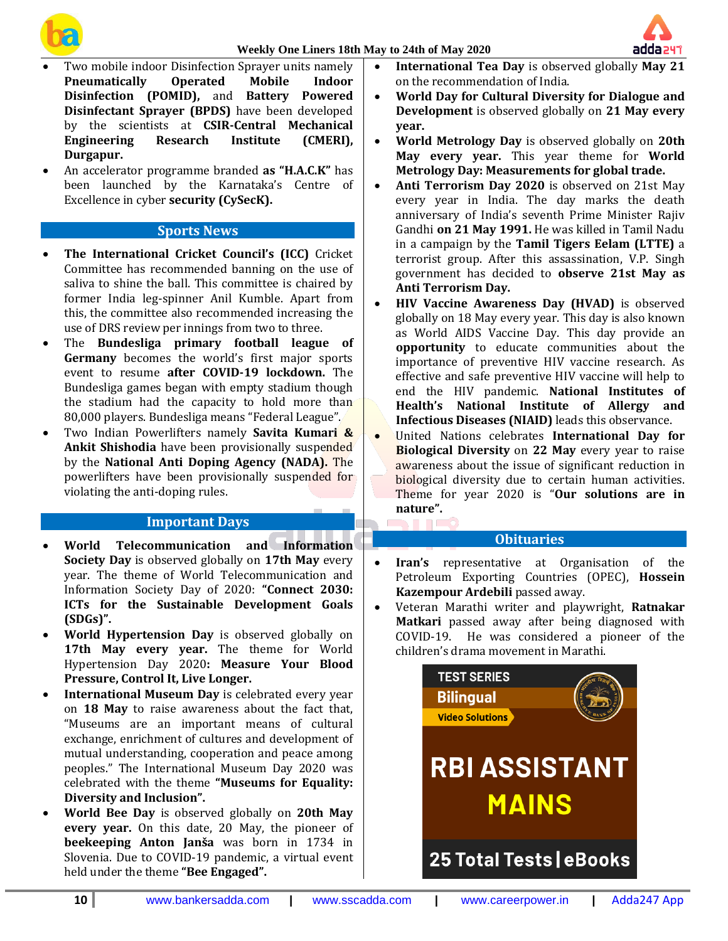





- Two mobile indoor Disinfection Sprayer units namely **Pneumatically Operated Mobile Indoor Disinfection (POMID),** and **Battery Powered Disinfectant Sprayer (BPDS)** have been developed by the scientists at **CSIR-Central Mechanical Engineering Research Institute (CMERI), Durgapur.**
- An accelerator programme branded **as "H.A.C.K"** has been launched by the Karnataka's Centre of Excellence in cyber **security (CySecK).**

# **Sports News**

- **The International Cricket Council's (ICC)** Cricket Committee has recommended banning on the use of saliva to shine the ball. This committee is chaired by former India leg-spinner Anil Kumble. Apart from this, the committee also recommended increasing the use of DRS review per innings from two to three.
- The **Bundesliga primary football league of Germany** becomes the world's first major sports event to resume **after COVID-19 lockdown.** The Bundesliga games began with empty stadium though the stadium had the capacity to hold more than 80,000 players. Bundesliga means "Federal League".
- Two Indian Powerlifters namely **Savita Kumari & Ankit Shishodia** have been provisionally suspended by the **National Anti Doping Agency (NADA).** The powerlifters have been provisionally suspended for violating the anti-doping rules.

# **Important Days**

- **World Telecommunication and Information Society Day** is observed globally on **17th May** every year. The theme of World Telecommunication and Information Society Day of 2020: **"Connect 2030: ICTs for the Sustainable Development Goals (SDGs)".**
- **World Hypertension Day** is observed globally on **17th May every year.** The theme for World Hypertension Day 2020**: Measure Your Blood Pressure, Control It, Live Longer.**
- **International Museum Day** is celebrated every year on **18 May** to raise awareness about the fact that, "Museums are an important means of cultural exchange, enrichment of cultures and development of mutual understanding, cooperation and peace among peoples." The International Museum Day 2020 was celebrated with the theme **"Museums for Equality: Diversity and Inclusion".**
- **World Bee Day** is observed globally on **20th May every year.** On this date, 20 May, the pioneer of **beekeeping Anton Janša** was born in 1734 in Slovenia. Due to COVID-19 pandemic, a virtual event held under the theme **"Bee Engaged".**
- **International Tea Day** is observed globally **May 21** on the recommendation of India.
- **World Day for Cultural Diversity for Dialogue and Development** is observed globally on **21 May every year.**
- **World Metrology Day** is observed globally on **20th May every year.** This year theme for **World Metrology Day: Measurements for global trade.**
- **Anti Terrorism Day 2020** is observed on 21st May every year in India. The day marks the death anniversary of India's seventh Prime Minister Rajiv Gandhi **on 21 May 1991.** He was killed in Tamil Nadu in a campaign by the **Tamil Tigers Eelam (LTTE)** a terrorist group. After this assassination, V.P. Singh government has decided to **observe 21st May as Anti Terrorism Day.**
- **HIV Vaccine Awareness Day (HVAD)** is observed globally on 18 May every year. This day is also known as World AIDS Vaccine Day. This day provide an **opportunity** to educate communities about the importance of preventive HIV vaccine research. As effective and safe preventive HIV vaccine will help to end the HIV pandemic. **National Institutes of Health's National Institute of Allergy and Infectious Diseases (NIAID)** leads this observance.
- United Nations celebrates **International Day for Biological Diversity** on **22 May** every year to raise awareness about the issue of significant reduction in biological diversity due to certain human activities. Theme for year 2020 is "**Our solutions are in nature".**

#### **Obituaries**

- **Iran's** representative at Organisation of the Petroleum Exporting Countries (OPEC), **Hossein Kazempour Ardebili** passed away.
- Veteran Marathi writer and playwright, **Ratnakar Matkari** passed away after being diagnosed with COVID-19. He was considered a pioneer of the children's drama movement in Marathi.

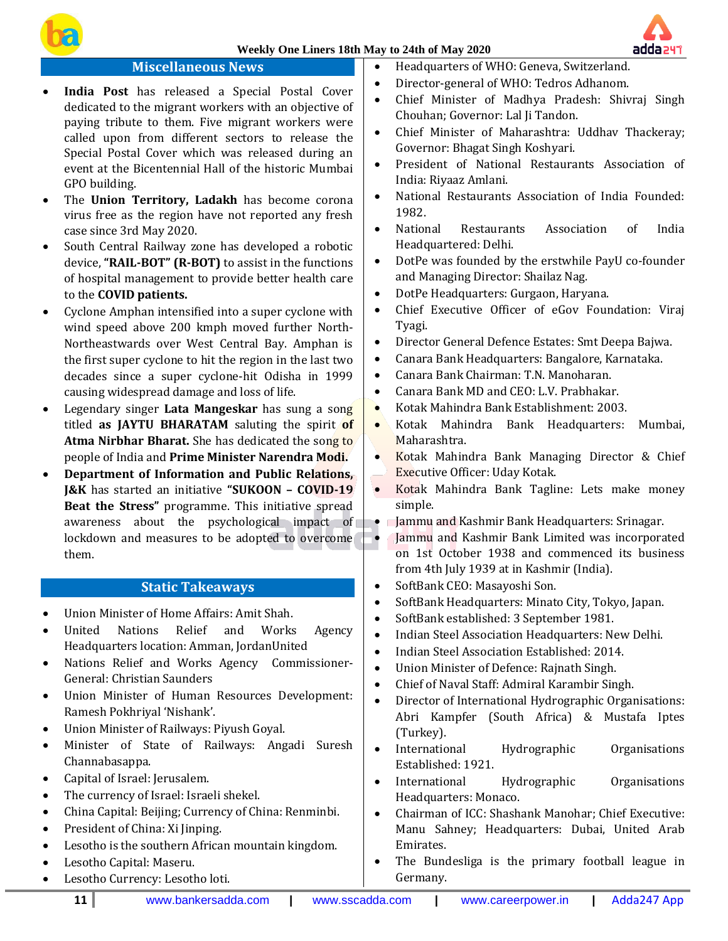

# **Miscellaneous News**

- **India Post** has released a Special Postal Cover dedicated to the migrant workers with an objective of paying tribute to them. Five migrant workers were called upon from different sectors to release the Special Postal Cover which was released during an event at the Bicentennial Hall of the historic Mumbai GPO building.
- The **Union Territory, Ladakh** has become corona virus free as the region have not reported any fresh case since 3rd May 2020.
- South Central Railway zone has developed a robotic device, **"RAIL-BOT" (R-BOT)** to assist in the functions of hospital management to provide better health care to the **COVID patients.**
- Cyclone Amphan intensified into a super cyclone with wind speed above 200 kmph moved further North-Northeastwards over West Central Bay. Amphan is the first super cyclone to hit the region in the last two decades since a super cyclone-hit Odisha in 1999 causing widespread damage and loss of life.
- Legendary singer **Lata Mangeskar** has sung a song titled **as JAYTU BHARATAM** saluting the spirit **of Atma Nirbhar Bharat.** She has dedicated the song to people of India and **Prime Minister Narendra Modi.**
- **Department of Information and Public Relations, J&K** has started an initiative **"SUKOON – COVID-19 Beat the Stress"** programme. This initiative spread awareness about the psychological impact of  $\begin{array}{|c|c|} \hline \end{array}$ lockdown and measures to be adopted to overcome them.

# **Static Takeaways**

- Union Minister of Home Affairs: Amit Shah.
- United Nations Relief and Works Agency Headquarters location: Amman, JordanUnited
- Nations Relief and Works Agency Commissioner-General: Christian Saunders
- Union Minister of Human Resources Development: Ramesh Pokhriyal 'Nishank'.
- Union Minister of Railways: Piyush Goyal.
- Minister of State of Railways: Angadi Suresh Channabasappa.
- Capital of Israel: Jerusalem.
- The currency of Israel: Israeli shekel.
- China Capital: Beijing; Currency of China: Renminbi.
- President of China: Xi Jinping.
- Lesotho is the southern African mountain kingdom.
- Lesotho Capital: Maseru.
- Lesotho Currency: Lesotho loti.
- Headquarters of WHO: Geneva, Switzerland.
- Director-general of WHO: Tedros Adhanom.
- Chief Minister of Madhya Pradesh: Shivraj Singh Chouhan; Governor: Lal Ji Tandon.
- Chief Minister of Maharashtra: Uddhav Thackeray; Governor: Bhagat Singh Koshyari.
- President of National Restaurants Association of India: Riyaaz Amlani.
- National Restaurants Association of India Founded: 1982.
- National Restaurants Association of India Headquartered: Delhi.
- DotPe was founded by the erstwhile PayU co-founder and Managing Director: Shailaz Nag.
- DotPe Headquarters: Gurgaon, Haryana.
- Chief Executive Officer of eGov Foundation: Viraj Tyagi.
- Director General Defence Estates: Smt Deepa Bajwa.
- Canara Bank Headquarters: Bangalore, Karnataka.
- Canara Bank Chairman: T.N. Manoharan.
- Canara Bank MD and CEO: L.V. Prabhakar.
- Kotak Mahindra Bank Establishment: 2003.
- Kotak Mahindra Bank Headquarters: Mumbai, Maharashtra.
- Kotak Mahindra Bank Managing Director & Chief Executive Officer: Uday Kotak.
- Kotak Mahindra Bank Tagline: Lets make money simple.
- Jammu and Kashmir Bank Headquarters: Srinagar.
- Jammu and Kashmir Bank Limited was incorporated on 1st October 1938 and commenced its business from 4th July 1939 at in Kashmir (India).
- SoftBank CEO: Masayoshi Son.
- SoftBank Headquarters: Minato City, Tokyo, Japan.
- SoftBank established: 3 September 1981.
- Indian Steel Association Headquarters: New Delhi.
- Indian Steel Association Established: 2014.
- Union Minister of Defence: Rajnath Singh.
- Chief of Naval Staff: Admiral Karambir Singh.
- Director of International Hydrographic Organisations: Abri Kampfer (South Africa) & Mustafa Iptes (Turkey).
- International Hydrographic Organisations Established: 1921.
- International Hydrographic Organisations Headquarters: Monaco.
- Chairman of ICC: Shashank Manohar; Chief Executive: Manu Sahney; Headquarters: Dubai, United Arab Emirates.
- The Bundesliga is the primary football league in Germany.